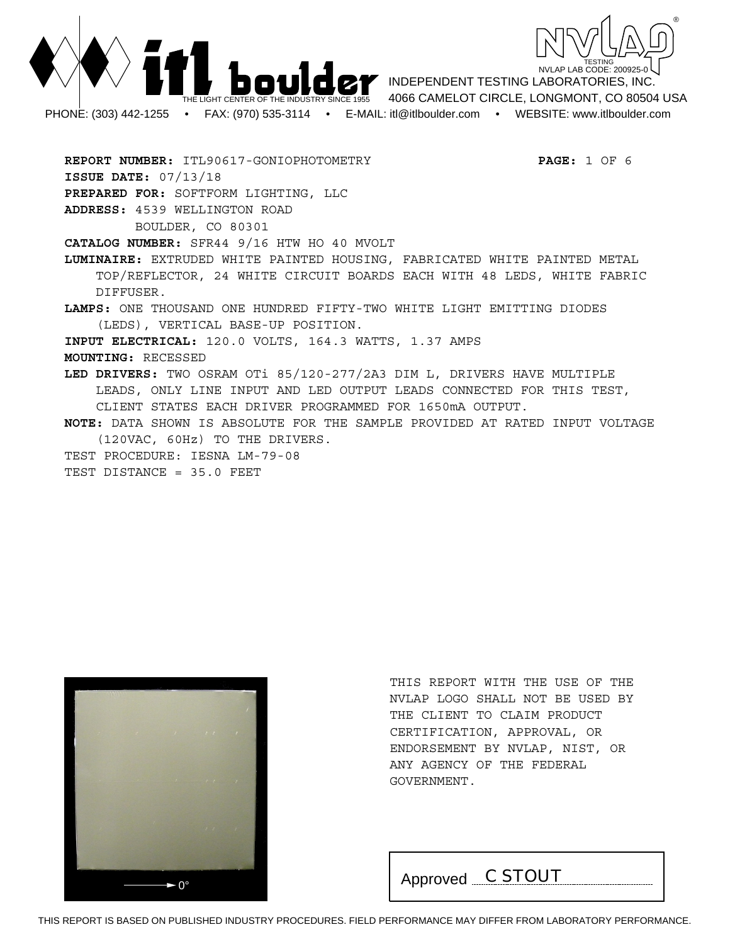



INDEPENDENT TESTING LABORATORIES, INC. 4066 CAMELOT CIRCLE, LONGMONT, CO 80504 USA PHONE: (303) 442-1255 • FAX: (970) 535-3114 • E-MAIL: itl@itlboulder.com • WEBSITE: www.itlboulder.com

**REPORT NUMBER:** ITL90617-GONIOPHOTOMETRY **PAGE:** 1 OF 6 **ISSUE DATE:** 07/13/18 **PREPARED FOR:** SOFTFORM LIGHTING, LLC **ADDRESS:** 4539 WELLINGTON ROAD BOULDER, CO 80301 **CATALOG NUMBER:** SFR44 9/16 HTW HO 40 MVOLT **LUMINAIRE:** EXTRUDED WHITE PAINTED HOUSING, FABRICATED WHITE PAINTED METAL TOP/REFLECTOR, 24 WHITE CIRCUIT BOARDS EACH WITH 48 LEDS, WHITE FABRIC DIFFUSER. **LAMPS:** ONE THOUSAND ONE HUNDRED FIFTY-TWO WHITE LIGHT EMITTING DIODES (LEDS), VERTICAL BASE-UP POSITION. **INPUT ELECTRICAL:** 120.0 VOLTS, 164.3 WATTS, 1.37 AMPS **MOUNTING:** RECESSED **LED DRIVERS:** TWO OSRAM OTi 85/120-277/2A3 DIM L, DRIVERS HAVE MULTIPLE LEADS, ONLY LINE INPUT AND LED OUTPUT LEADS CONNECTED FOR THIS TEST, CLIENT STATES EACH DRIVER PROGRAMMED FOR 1650mA OUTPUT. **NOTE:** DATA SHOWN IS ABSOLUTE FOR THE SAMPLE PROVIDED AT RATED INPUT VOLTAGE (120VAC, 60Hz) TO THE DRIVERS. TEST PROCEDURE: IESNA LM-79-08 TEST DISTANCE = 35.0 FEET



THIS REPORT WITH THE USE OF THE NVLAP LOGO SHALL NOT BE USED BY THE CLIENT TO CLAIM PRODUCT CERTIFICATION, APPROVAL, OR ENDORSEMENT BY NVLAP, NIST, OR ANY AGENCY OF THE FEDERAL GOVERNMENT.

 $\begin{array}{|c|c|c|c|c|}\n\hline\n\text{Approved} & & C \text{STOUT} \\
\hline\n\end{array}$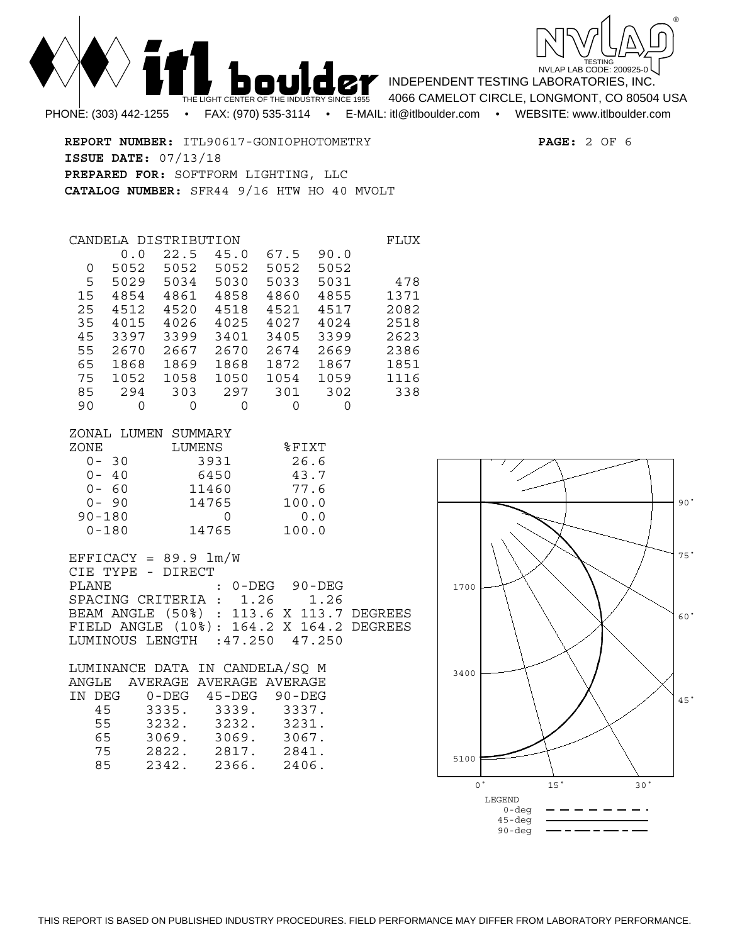

THE LIGHT CEN PHONE: (303) 442-1255 • FAX: (970) 535-3114 • E-MAIL: itl@itlboulder.com • WEBSITE: www.itlboulder.com

INDEPENDENT TESTING LABORATORIES, INC.

4066 CAMELOT CIRCLE, LONGMONT, CO 80504 USA

**REPORT NUMBER:** ITL90617-GONIOPHOTOMETRY **PAGE:** 2 OF 6 **ISSUE DATE:** 07/13/18 **PREPARED FOR:** SOFTFORM LIGHTING, LLC **CATALOG NUMBER:** SFR44 9/16 HTW HO 40 MVOLT

| CANDELA |      | DISTRIBUTION |      |      |      | FLUX |
|---------|------|--------------|------|------|------|------|
|         | 0.0  | 22.5         | 45.0 | 67.5 | 90.0 |      |
| 0       | 5052 | 5052         | 5052 | 5052 | 5052 |      |
| 5       | 5029 | 5034         | 5030 | 5033 | 5031 | 478  |
| 15      | 4854 | 4861         | 4858 | 4860 | 4855 | 1371 |
| 2.5     | 4512 | 4520         | 4518 | 4521 | 4517 | 2082 |
| 35      | 4015 | 4026         | 4025 | 4027 | 4024 | 2518 |
| 45      | 3397 | 3399         | 3401 | 3405 | 3399 | 2623 |
| 55      | 2670 | 2667         | 2670 | 2674 | 2669 | 2386 |
| 65      | 1868 | 1869         | 1868 | 1872 | 1867 | 1851 |
| 75      | 1052 | 1058         | 1050 | 1054 | 1059 | 1116 |
| 85      | 294  | 303          | 297  | 301  | 302  | 338  |
| 90      | O    | 0            | 0    | 0    | O    |      |

| ZONAL LUMEN SUMMARY |        |          |
|---------------------|--------|----------|
| ZONE                | LUMENS | $$$ FIXT |
| $0 - 30$            | 3931   | 26.6     |
| $0 - 40$            | 6450   | 43.7     |
| $0 - 60$            | 11460  | 77.6     |
| $0 - 90$            | 14765  | 100.0    |
| $90 - 180$          |        | 0.0      |
| $0 - 180$           | 14765  | 100.0    |

 $EFFICACY = 89.9 Im/W$ CIE TYPE - DIRECT PLANE : 0-DEG 90-DEG SPACING CRITERIA : 1.26 1.26 BEAM ANGLE (50%) : 113.6 X 113.7 DEGREES FIELD ANGLE (10%): 164.2 X 164.2 DEGREES LUMINOUS LENGTH :47.250 47.250

|    |        |       | $90 - DEG$                                                                                |
|----|--------|-------|-------------------------------------------------------------------------------------------|
| 45 |        | 3339. | 3337.                                                                                     |
| 55 | 3232.  | 3232. | 3231.                                                                                     |
| 65 | 3069.  | 3069. | 3067.                                                                                     |
| 75 | 2822.  | 2817. | 2841.                                                                                     |
| 85 | 2342.  | 2366. | 2406.                                                                                     |
|    | IN DEG | ANGLE | LUMINANCE DATA IN CANDELA/SO M<br>AVERAGE AVERAGE AVERAGE<br>45-DEG<br>$0 - DEG$<br>3335. |

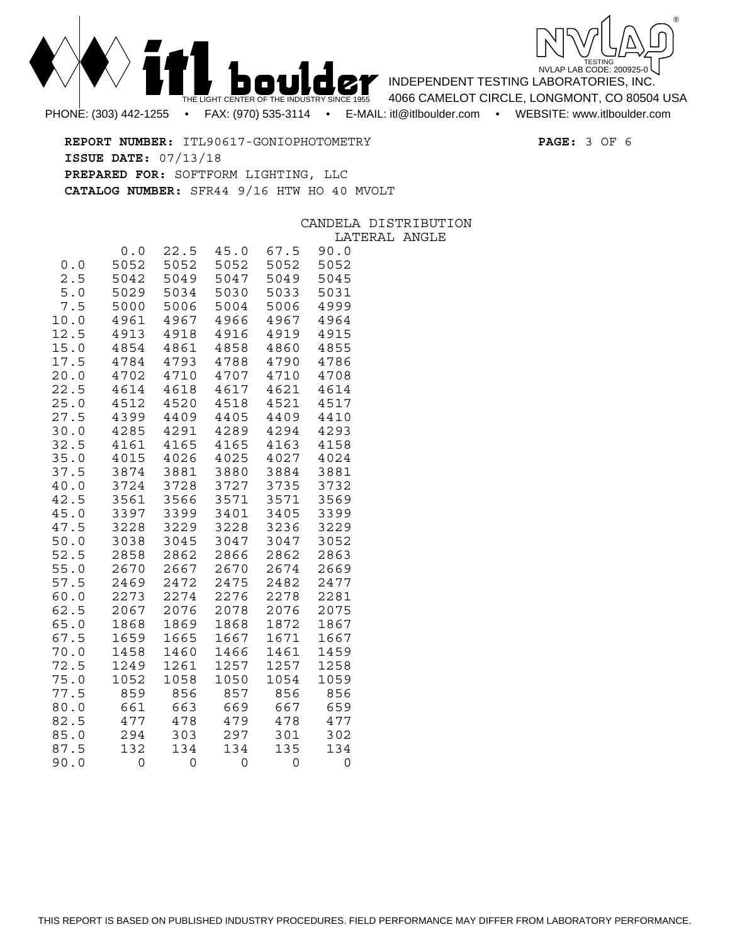



INDEPENDENT TESTING LABORATORIES, INC.

4066 CAMELOT CIRCLE, LONGMONT, CO 80504 USA

**REPORT NUMBER:** ITL90617-GONIOPHOTOMETRY **PAGE:** 3 OF 6 **ISSUE DATE:** 07/13/18 **PREPARED FOR:** SOFTFORM LIGHTING, LLC **CATALOG NUMBER:** SFR44 9/16 HTW HO 40 MVOLT

## ISTRIBUTION AL ANGLE

|      |      |      |      |      | CANDELA DI |  |
|------|------|------|------|------|------------|--|
|      |      |      |      |      | LATER      |  |
|      | 0.0  | 22.5 | 45.0 | 67.5 | 90.0       |  |
| 0.0  | 5052 | 5052 | 5052 | 5052 | 5052       |  |
| 2.5  | 5042 | 5049 | 5047 | 5049 | 5045       |  |
| 5.0  | 5029 | 5034 | 5030 | 5033 | 5031       |  |
| 7.5  | 5000 | 5006 | 5004 | 5006 | 4999       |  |
| 10.0 | 4961 | 4967 | 4966 | 4967 | 4964       |  |
| 12.5 | 4913 | 4918 | 4916 | 4919 | 4915       |  |
| 15.0 | 4854 | 4861 | 4858 | 4860 | 4855       |  |
| 17.5 | 4784 | 4793 | 4788 | 4790 | 4786       |  |
| 20.0 | 4702 | 4710 | 4707 | 4710 | 4708       |  |
| 22.5 | 4614 | 4618 | 4617 | 4621 | 4614       |  |
| 25.0 | 4512 | 4520 | 4518 | 4521 | 4517       |  |
| 27.5 | 4399 | 4409 | 4405 | 4409 | 4410       |  |
| 30.0 | 4285 | 4291 | 4289 | 4294 | 4293       |  |
| 32.5 | 4161 | 4165 | 4165 | 4163 | 4158       |  |
| 35.0 | 4015 | 4026 | 4025 | 4027 | 4024       |  |
| 37.5 | 3874 | 3881 | 3880 | 3884 | 3881       |  |
| 40.0 | 3724 | 3728 | 3727 | 3735 | 3732       |  |
| 42.5 | 3561 | 3566 | 3571 | 3571 | 3569       |  |
| 45.0 | 3397 | 3399 | 3401 | 3405 | 3399       |  |
| 47.5 | 3228 | 3229 | 3228 | 3236 | 3229       |  |
| 50.0 | 3038 | 3045 | 3047 | 3047 | 3052       |  |
| 52.5 | 2858 | 2862 | 2866 | 2862 | 2863       |  |
| 55.0 | 2670 | 2667 | 2670 | 2674 | 2669       |  |
| 57.5 | 2469 | 2472 | 2475 | 2482 | 2477       |  |
| 60.0 | 2273 | 2274 | 2276 | 2278 | 2281       |  |
| 62.5 | 2067 | 2076 | 2078 | 2076 | 2075       |  |
| 65.0 | 1868 | 1869 | 1868 | 1872 | 1867       |  |
| 67.5 | 1659 | 1665 | 1667 | 1671 | 1667       |  |
| 70.0 | 1458 | 1460 | 1466 | 1461 | 1459       |  |
| 72.5 | 1249 | 1261 | 1257 | 1257 | 1258       |  |
| 75.0 | 1052 | 1058 | 1050 | 1054 | 1059       |  |
| 77.5 | 859  | 856  | 857  | 856  | 856        |  |
| 80.0 | 661  | 663  | 669  | 667  | 659        |  |
|      |      |      |      |      |            |  |

82.5 477 478 479 478 477

87.5 132 134 134 135 134

85.0 294 303 297 301 302

 $90.0$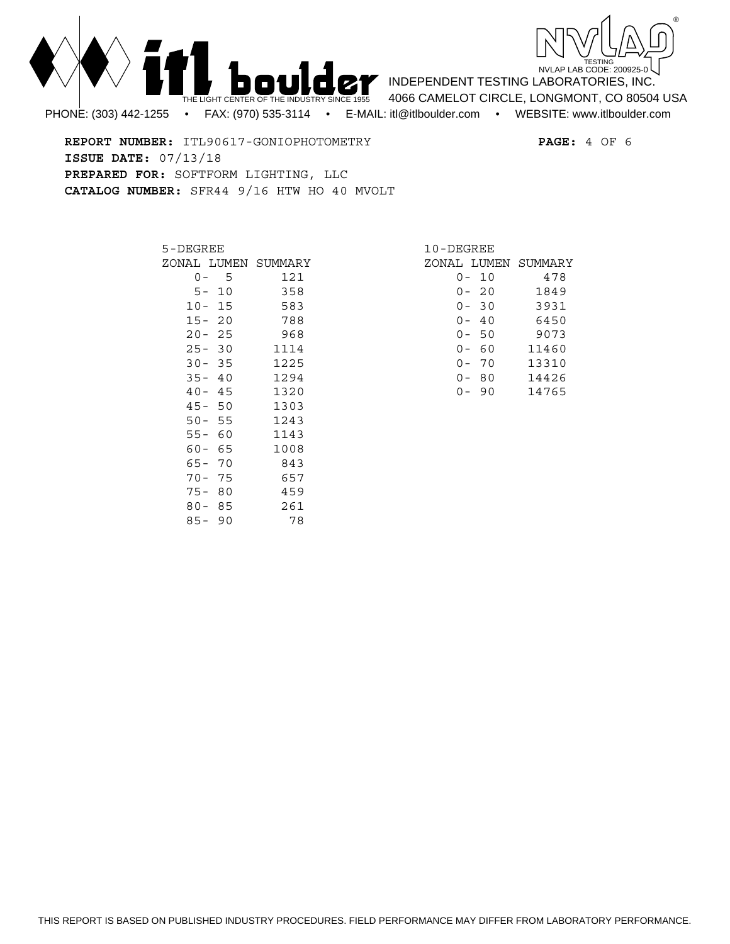



INDEPENDENT TESTING LABORATORIES, INC. 4066 CAMELOT CIRCLE, LONGMONT, CO 80504 USA

PHONE: (303) 442-1255 • FAX: (970) 535-3114 • E-MAIL: itl@itlboulder.com • WEBSITE: www.itlboulder.com

**REPORT NUMBER:** ITL90617-GONIOPHOTOMETRY **PAGE:** 4 OF 6 **ISSUE DATE:** 07/13/18 **PREPARED FOR:** SOFTFORM LIGHTING, LLC **CATALOG NUMBER:** SFR44 9/16 HTW HO 40 MVOLT

| 5-DEGREE |      |                     |  |
|----------|------|---------------------|--|
|          |      | ZONAL LUMEN SUMMARY |  |
| 0 –      | 5    | 121                 |  |
| 5 –      | 10   | 358                 |  |
| $10 -$   | 15   | 583                 |  |
| $15 -$   | - 20 | 788                 |  |
| $20 -$   | - 25 | 968                 |  |
| $25 -$   | 30   | 1114                |  |
| $30 -$   | 35   | 1225                |  |
| $35 -$   | - 40 | 1294                |  |
| $40-$    | - 45 | 1320                |  |
| 45-      | 50   | 1303                |  |
| $50 -$   | - 55 | 1243                |  |
| $55 -$   | 60   | 1143                |  |
| 60-      | 65   | 1008                |  |
| 65-      | 70   | 843                 |  |
| $70-$    | 75   | 657                 |  |
| $75 -$   | 80   | 459                 |  |
| $80 -$   | 85   | 261                 |  |
| 85-      | 90   | 78                  |  |

| 10-DEGREE |             |    |                     |  |  |
|-----------|-------------|----|---------------------|--|--|
|           |             |    | ZONAL LUMEN SUMMARY |  |  |
|           | 0- 10       |    | 478                 |  |  |
|           | $0 - 20$    |    | 1849                |  |  |
|           | $0 - 30$    |    | 3931                |  |  |
|           | 0-40        |    | 6450                |  |  |
|           | 0-50        |    | 9073                |  |  |
|           | - 60<br>ი – |    | 11460               |  |  |
|           | ი –         | 70 | 13310               |  |  |
|           | N –         | 80 | 14426               |  |  |
|           |             | 90 | 14765               |  |  |
|           |             |    |                     |  |  |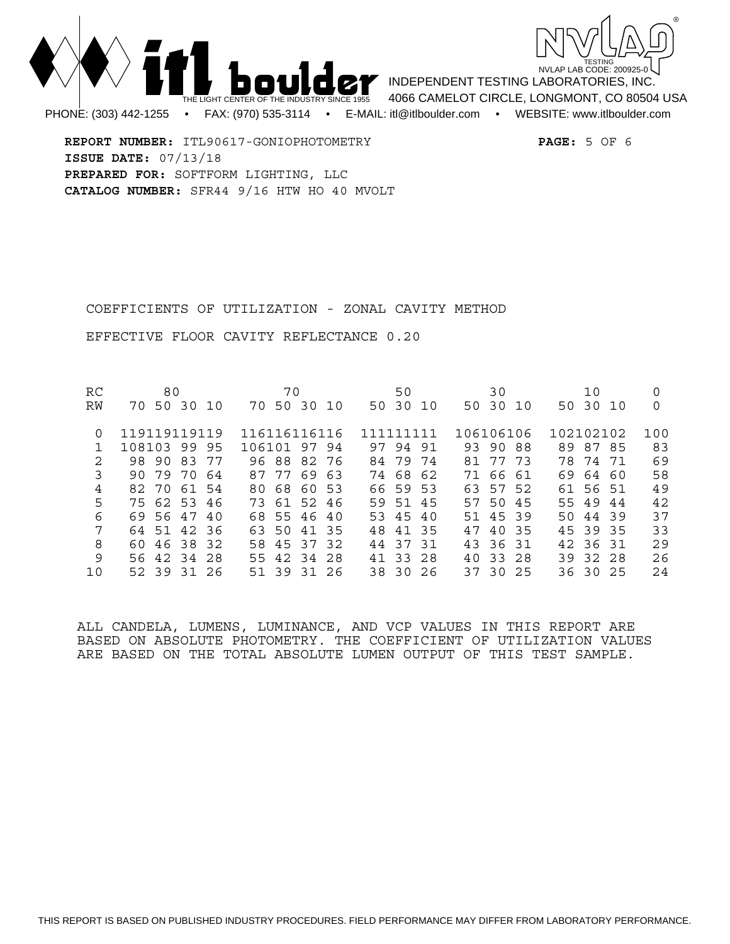



INDEPENDENT TESTING LABORATORIES, INC. 4066 CAMELOT CIRCLE, LONGMONT, CO 80504 USA PHONE: (303) 442-1255 • FAX: (970) 535-3114 • E-MAIL: itl@itlboulder.com • WEBSITE: www.itlboulder.com

**REPORT NUMBER:** ITL90617-GONIOPHOTOMETRY **PAGE:** 5 OF 6 **ISSUE DATE:** 07/13/18 **PREPARED FOR:** SOFTFORM LIGHTING, LLC **CATALOG NUMBER:** SFR44 9/16 HTW HO 40 MVOLT

COEFFICIENTS OF UTILIZATION - ZONAL CAVITY METHOD

EFFECTIVE FLOOR CAVITY REFLECTANCE 0.20

RC 80 70 50 30 10 0 RW 70 50 30 10 70 50 30 10 50 30 10 50 30 10 50 30 10 0 0 119119119119 116116116116 111111111 106106106 102102102 100<br>1 108103 99 95 106101 97 94 97 94 91 93 90 88 89 87 85 83 1 108103 99 95 106101 97 94 97 94 91 93 90 88 89 87 85 83 2 98 90 83 77 96 88 82 76 84 79 74 81 77 73 78 74 71 69 3 90 79 70 64 87 77 69 63 74 68 62 71 66 61 69 64 60 58 4 82 70 61 54 80 68 60 53 66 59 53 63 57 52 61 56 51 49 5 75 62 53 46 73 61 52 46 59 51 45 57 50 45 55 49 44 42 6 69 56 47 40 68 55 46 40 53 45 40 51 45 39 50 44 39 37 7 64 51 42 36 63 50 41 35 48 41 35 47 40 35 45 39 35 33 8 60 46 38 32 58 45 37 32 44 37 31 43 36 31 42 36 31 29 9 56 42 34 28 55 42 34 28 41 33 28 40 33 28 39 32 28 26 10 52 39 31 26 51 39 31 26 38 30 26 37 30 25 36 30 25 24

ALL CANDELA, LUMENS, LUMINANCE, AND VCP VALUES IN THIS REPORT ARE BASED ON ABSOLUTE PHOTOMETRY. THE COEFFICIENT OF UTILIZATION VALUES ARE BASED ON THE TOTAL ABSOLUTE LUMEN OUTPUT OF THIS TEST SAMPLE.